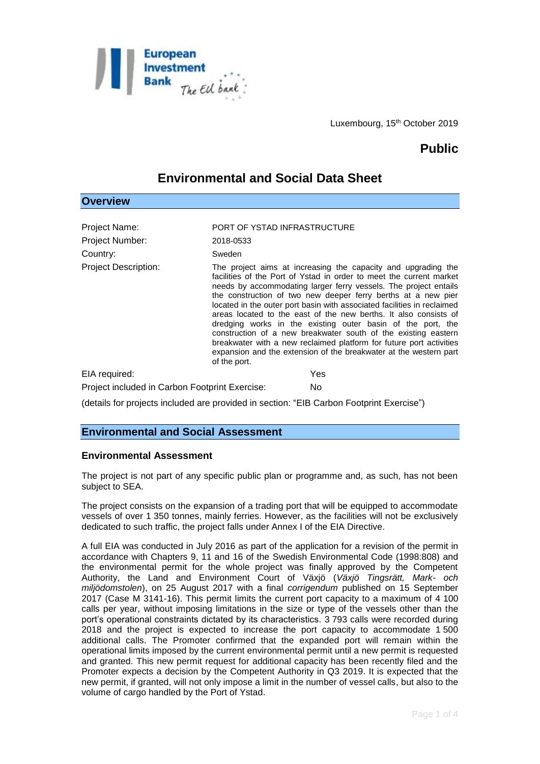

# **Public**

## **Environmental and Social Data Sheet**

## **Overview**

| Project Name:                                                                            | PORT OF YSTAD INFRASTRUCTURE                                                                                                                                                                                                                                                                                                                                                                                                                                                                                                                                                                                                                                                                                          |
|------------------------------------------------------------------------------------------|-----------------------------------------------------------------------------------------------------------------------------------------------------------------------------------------------------------------------------------------------------------------------------------------------------------------------------------------------------------------------------------------------------------------------------------------------------------------------------------------------------------------------------------------------------------------------------------------------------------------------------------------------------------------------------------------------------------------------|
| Project Number:                                                                          | 2018-0533                                                                                                                                                                                                                                                                                                                                                                                                                                                                                                                                                                                                                                                                                                             |
| Country:                                                                                 | Sweden                                                                                                                                                                                                                                                                                                                                                                                                                                                                                                                                                                                                                                                                                                                |
| <b>Project Description:</b>                                                              | The project aims at increasing the capacity and upgrading the<br>facilities of the Port of Ystad in order to meet the current market<br>needs by accommodating larger ferry vessels. The project entails<br>the construction of two new deeper ferry berths at a new pier<br>located in the outer port basin with associated facilities in reclaimed<br>areas located to the east of the new berths. It also consists of<br>dredging works in the existing outer basin of the port, the<br>construction of a new breakwater south of the existing eastern<br>breakwater with a new reclaimed platform for future port activities<br>expansion and the extension of the breakwater at the western part<br>of the port. |
| EIA required:                                                                            | Yes                                                                                                                                                                                                                                                                                                                                                                                                                                                                                                                                                                                                                                                                                                                   |
| Project included in Carbon Footprint Exercise:                                           | No.                                                                                                                                                                                                                                                                                                                                                                                                                                                                                                                                                                                                                                                                                                                   |
| (details for projects included are provided in section: "EIB Carbon Footprint Exercise") |                                                                                                                                                                                                                                                                                                                                                                                                                                                                                                                                                                                                                                                                                                                       |

## **Environmental Assessment**

**Environmental and Social Assessment** 

The project is not part of any specific public plan or programme and, as such, has not been subject to SEA.

The project consists on the expansion of a trading port that will be equipped to accommodate vessels of over 1 350 tonnes, mainly ferries. However, as the facilities will not be exclusively dedicated to such traffic, the project falls under Annex I of the EIA Directive.

A full EIA was conducted in July 2016 as part of the application for a revision of the permit in accordance with Chapters 9, 11 and 16 of the Swedish Environmental Code (1998:808) and the environmental permit for the whole project was finally approved by the Competent Authority, the Land and Environment Court of Växjö (*Växjö Tingsrätt, Mark- och miljödomstolen*), on 25 August 2017 with a final *corrigendum* published on 15 September 2017 (Case M 3141-16). This permit limits the current port capacity to a maximum of 4 100 calls per year, without imposing limitations in the size or type of the vessels other than the port's operational constraints dictated by its characteristics. 3 793 calls were recorded during 2018 and the project is expected to increase the port capacity to accommodate 1 500 additional calls. The Promoter confirmed that the expanded port will remain within the operational limits imposed by the current environmental permit until a new permit is requested and granted. This new permit request for additional capacity has been recently filed and the Promoter expects a decision by the Competent Authority in Q3 2019. It is expected that the new permit, if granted, will not only impose a limit in the number of vessel calls, but also to the volume of cargo handled by the Port of Ystad.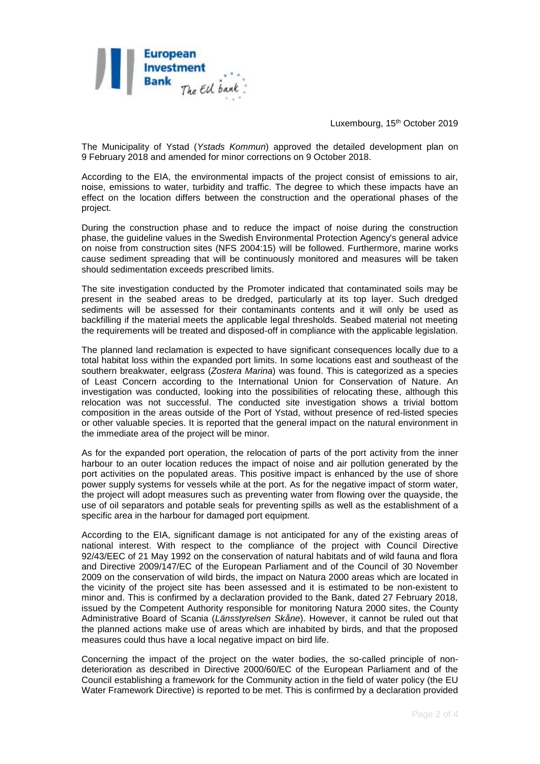

The Municipality of Ystad (*Ystads Kommun*) approved the detailed development plan on 9 February 2018 and amended for minor corrections on 9 October 2018.

According to the EIA, the environmental impacts of the project consist of emissions to air, noise, emissions to water, turbidity and traffic. The degree to which these impacts have an effect on the location differs between the construction and the operational phases of the project.

During the construction phase and to reduce the impact of noise during the construction phase, the guideline values in the Swedish Environmental Protection Agency's general advice on noise from construction sites (NFS 2004:15) will be followed. Furthermore, marine works cause sediment spreading that will be continuously monitored and measures will be taken should sedimentation exceeds prescribed limits.

The site investigation conducted by the Promoter indicated that contaminated soils may be present in the seabed areas to be dredged, particularly at its top layer. Such dredged sediments will be assessed for their contaminants contents and it will only be used as backfilling if the material meets the applicable legal thresholds. Seabed material not meeting the requirements will be treated and disposed-off in compliance with the applicable legislation.

The planned land reclamation is expected to have significant consequences locally due to a total habitat loss within the expanded port limits. In some locations east and southeast of the southern breakwater, eelgrass (*Zostera Marina*) was found. This is categorized as a species of Least Concern according to the International Union for Conservation of Nature. An investigation was conducted, looking into the possibilities of relocating these, although this relocation was not successful. The conducted site investigation shows a trivial bottom composition in the areas outside of the Port of Ystad, without presence of red-listed species or other valuable species. It is reported that the general impact on the natural environment in the immediate area of the project will be minor.

As for the expanded port operation, the relocation of parts of the port activity from the inner harbour to an outer location reduces the impact of noise and air pollution generated by the port activities on the populated areas. This positive impact is enhanced by the use of shore power supply systems for vessels while at the port. As for the negative impact of storm water, the project will adopt measures such as preventing water from flowing over the quayside, the use of oil separators and potable seals for preventing spills as well as the establishment of a specific area in the harbour for damaged port equipment.

According to the EIA, significant damage is not anticipated for any of the existing areas of national interest. With respect to the compliance of the project with Council Directive 92/43/EEC of 21 May 1992 on the conservation of natural habitats and of wild fauna and flora and Directive 2009/147/EC of the European Parliament and of the Council of 30 November 2009 on the conservation of wild birds, the impact on Natura 2000 areas which are located in the vicinity of the project site has been assessed and it is estimated to be non-existent to minor and. This is confirmed by a declaration provided to the Bank, dated 27 February 2018, issued by the Competent Authority responsible for monitoring Natura 2000 sites, the County Administrative Board of Scania (*Länsstyrelsen Skåne*). However, it cannot be ruled out that the planned actions make use of areas which are inhabited by birds, and that the proposed measures could thus have a local negative impact on bird life.

Concerning the impact of the project on the water bodies, the so-called principle of nondeterioration as described in Directive 2000/60/EC of the European Parliament and of the Council establishing a framework for the Community action in the field of water policy (the EU Water Framework Directive) is reported to be met. This is confirmed by a declaration provided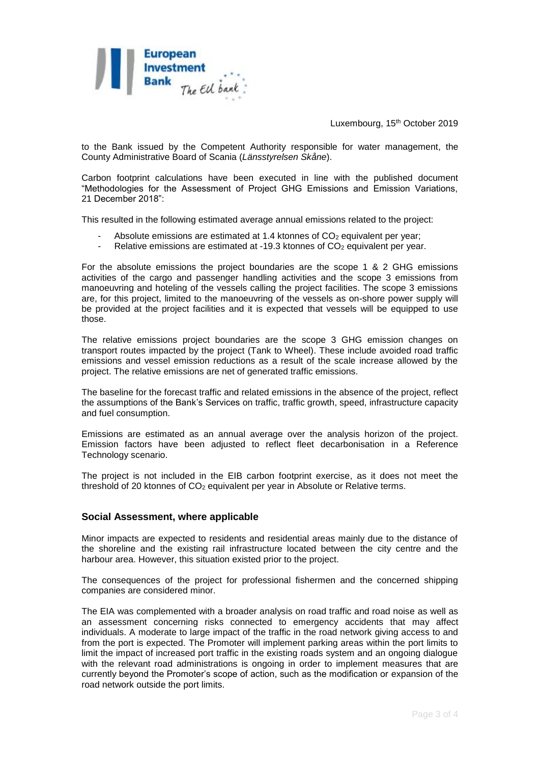

to the Bank issued by the Competent Authority responsible for water management, the County Administrative Board of Scania (*Länsstyrelsen Skåne*).

Carbon footprint calculations have been executed in line with the published document "Methodologies for the Assessment of Project GHG Emissions and Emission Variations, 21 December 2018":

This resulted in the following estimated average annual emissions related to the project:

- Absolute emissions are estimated at 1.4 ktonnes of  $CO<sub>2</sub>$  equivalent per year;
- Relative emissions are estimated at -19.3 ktonnes of  $CO<sub>2</sub>$  equivalent per year.

For the absolute emissions the project boundaries are the scope 1 & 2 GHG emissions activities of the cargo and passenger handling activities and the scope 3 emissions from manoeuvring and hoteling of the vessels calling the project facilities. The scope 3 emissions are, for this project, limited to the manoeuvring of the vessels as on-shore power supply will be provided at the project facilities and it is expected that vessels will be equipped to use those.

The relative emissions project boundaries are the scope 3 GHG emission changes on transport routes impacted by the project (Tank to Wheel). These include avoided road traffic emissions and vessel emission reductions as a result of the scale increase allowed by the project. The relative emissions are net of generated traffic emissions.

The baseline for the forecast traffic and related emissions in the absence of the project, reflect the assumptions of the Bank's Services on traffic, traffic growth, speed, infrastructure capacity and fuel consumption.

Emissions are estimated as an annual average over the analysis horizon of the project. Emission factors have been adjusted to reflect fleet decarbonisation in a Reference Technology scenario.

The project is not included in the EIB carbon footprint exercise, as it does not meet the threshold of 20 ktonnes of CO<sup>2</sup> equivalent per year in Absolute or Relative terms.

#### **Social Assessment, where applicable**

Minor impacts are expected to residents and residential areas mainly due to the distance of the shoreline and the existing rail infrastructure located between the city centre and the harbour area. However, this situation existed prior to the project.

The consequences of the project for professional fishermen and the concerned shipping companies are considered minor.

The EIA was complemented with a broader analysis on road traffic and road noise as well as an assessment concerning risks connected to emergency accidents that may affect individuals. A moderate to large impact of the traffic in the road network giving access to and from the port is expected. The Promoter will implement parking areas within the port limits to limit the impact of increased port traffic in the existing roads system and an ongoing dialogue with the relevant road administrations is ongoing in order to implement measures that are currently beyond the Promoter's scope of action, such as the modification or expansion of the road network outside the port limits.